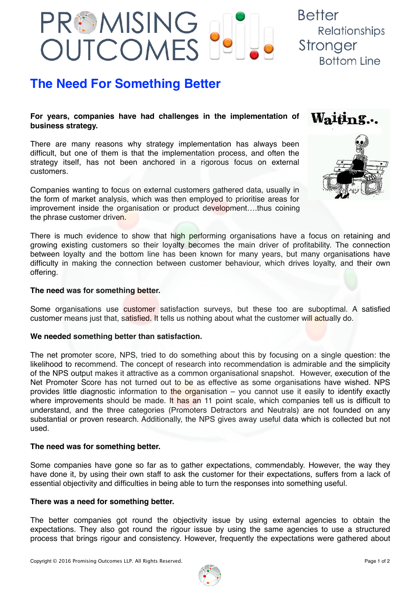# PREMISING J

# **The Need For Something Better**

**For years, companies have had challenges in the implementation of business strategy.**

There are many reasons why strategy implementation has always been difficult, but one of them is that the implementation process, and often the strategy itself, has not been anchored in a rigorous focus on external customers.

Companies wanting to focus on external customers gathered data, usually in the form of market analysis, which was then employed to prioritise areas for improvement inside the organisation or product development….thus coining the phrase customer driven.

There is much evidence to show that high performing organisations have a focus on retaining and growing existing customers so their loyalty becomes the main driver of profitability. The connection between loyalty and the bottom line has been known for many years, but many organisations have difficulty in making the connection between customer behaviour, which drives loyalty, and their own offering.

# **The need was for something better.**

Some organisations use customer satisfaction surveys, but these too are suboptimal. A satisfied customer means just that, satisfied. It tells us nothing about what the customer will actually do.

# **We needed something better than satisfaction.**

The net promoter score, NPS, tried to do something about this by focusing on a single question: the likelihood to recommend. The concept of research into recommendation is admirable and the simplicity of the NPS output makes it attractive as a common organisational snapshot. However, execution of the Net Promoter Score has not turned out to be as effective as some organisations have wished. NPS provides little diagnostic information to the organisation  $-$  you cannot use it easily to identify exactly where improvements should be made. It has an 11 point scale, which companies tell us is difficult to understand, and the three categories (Promoters Detractors and Neutrals) are not founded on any substantial or proven research. Additionally, the NPS gives away useful data which is collected but not used.

# **The need was for something better.**

Some companies have gone so far as to gather expectations, commendably. However, the way they have done it, by using their own staff to ask the customer for their expectations, suffers from a lack of essential objectivity and difficulties in being able to turn the responses into something useful.

# **There was a need for something better.**

The better companies got round the objectivity issue by using external agencies to obtain the expectations. They also got round the rigour issue by using the same agencies to use a structured process that brings rigour and consistency. However, frequently the expectations were gathered about





**Better** Relationships Stronger **Bottom Line**